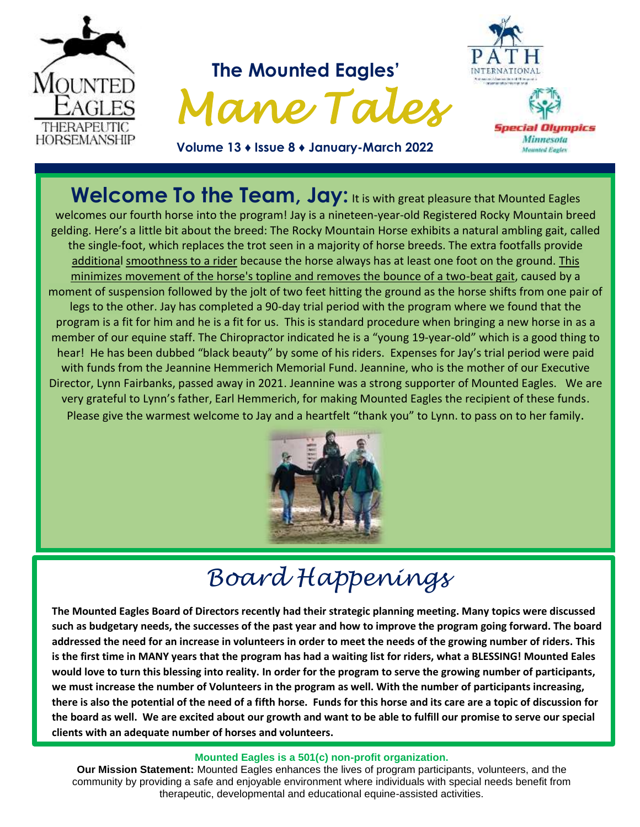

**Welcome To the Team, Jay: It is with great pleasure that Mounted Eagles** welcomes our fourth horse into the program! Jay is a nineteen-year-old Registered Rocky Mountain breed gelding. Here's a little bit about the breed: The Rocky Mountain Horse exhibits a natural [ambling](https://en.wikipedia.org/wiki/Ambling) gait, called the single-foot, which replaces the [trot](https://en.wikipedia.org/wiki/Trot_(horse_gait)) seen in a majority of horse breeds. The extra footfalls provide additional smoothness to a rider because the horse always has at least one foot on the ground. This minimizes movement of the horse's topline and removes the bounce of a two-beat gait, caused by a moment of suspension followed by the jolt of two feet hitting the ground as the horse shifts from one pair of legs to the other. Jay has completed a 90-day trial period with the program where we found that the program is a fit for him and he is a fit for us. This is standard procedure when bringing a new horse in as a member of our equine staff. The Chiropractor indicated he is a "young 19-year-old" which is a good thing to hear! He has been dubbed "black beauty" by some of his riders. Expenses for Jay's trial period were paid with funds from the Jeannine Hemmerich Memorial Fund. Jeannine, who is the mother of our Executive Director, Lynn Fairbanks, passed away in 2021. Jeannine was a strong supporter of Mounted Eagles. We are very grateful to Lynn's father, Earl Hemmerich, for making Mounted Eagles the recipient of these funds. Please give the warmest welcome to Jay and a heartfelt "thank you" to Lynn. to pass on to her family.



# *Board Happenings*

**The Mounted Eagles Board of Directors recently had their strategic planning meeting. Many topics were discussed such as budgetary needs, the successes of the past year and how to improve the program going forward. The board addressed the need for an increase in volunteers in order to meet the needs of the growing number of riders. This is the first time in MANY years that the program has had a waiting list for riders, what a BLESSING! Mounted Eales would love to turn this blessing into reality. In order for the program to serve the growing number of participants, we must increase the number of Volunteers in the program as well. With the number of participants increasing, there is also the potential of the need of a fifth horse. Funds for this horse and its care are a topic of discussion for the board as well. We are excited about our growth and want to be able to fulfill our promise to serve our special clients with an adequate number of horses and volunteers.**

#### **Mounted Eagles is a 501(c) non-profit organization.**

**Our Mission Statement:** Mounted Eagles enhances the lives of program participants, volunteers, and the community by providing a safe and enjoyable environment where individuals with special needs benefit from therapeutic, developmental and educational equine-assisted activities.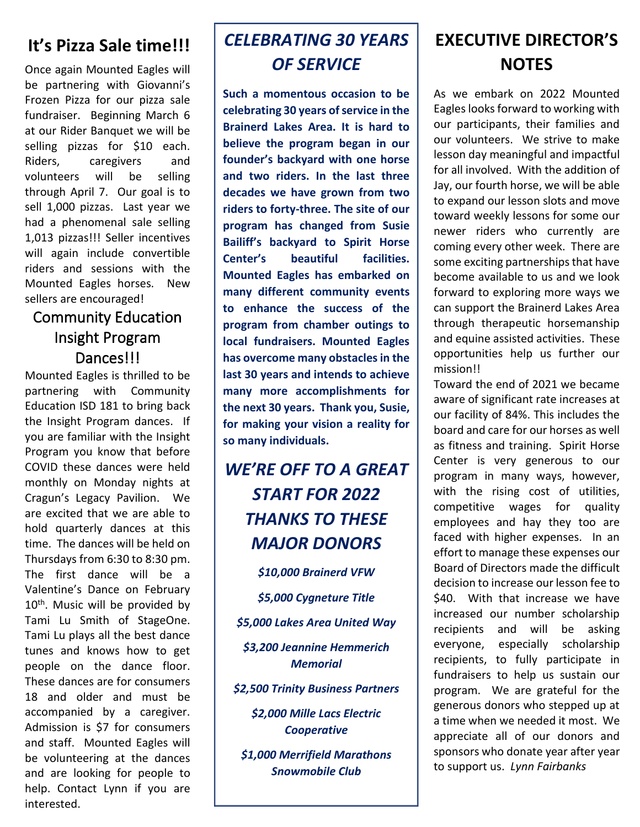#### **It's Pizza Sale time!!!**

Once again Mounted Eagles will be partnering with Giovanni's Frozen Pizza for our pizza sale fundraiser. Beginning March 6 at our Rider Banquet we will be selling pizzas for \$10 each. Riders, caregivers and volunteers will be selling through April 7. Our goal is to sell 1,000 pizzas. Last year we had a phenomenal sale selling 1,013 pizzas!!! Seller incentives will again include convertible riders and sessions with the Mounted Eagles horses. New sellers are encouraged!

#### Community Education Insight Program Dances!!!

Mounted Eagles is thrilled to be partnering with Community Education ISD 181 to bring back the Insight Program dances. If you are familiar with the Insight Program you know that before COVID these dances were held monthly on Monday nights at Cragun's Legacy Pavilion. We are excited that we are able to hold quarterly dances at this time. The dances will be held on Thursdays from 6:30 to 8:30 pm. The first dance will be a Valentine's Dance on February 10<sup>th</sup>. Music will be provided by Tami Lu Smith of StageOne. Tami Lu plays all the best dance tunes and knows how to get people on the dance floor. These dances are for consumers 18 and older and must be accompanied by a caregiver. Admission is \$7 for consumers and staff. Mounted Eagles will be volunteering at the dances and are looking for people to help. Contact Lynn if you are interested.

### *CELEBRATING 30 YEARS OF SERVICE*

**Such a momentous occasion to be celebrating 30 years of service in the Brainerd Lakes Area. It is hard to believe the program began in our founder's backyard with one horse and two riders. In the last three decades we have grown from two riders to forty-three. The site of our program has changed from Susie Bailiff's backyard to Spirit Horse Center's beautiful facilities. Mounted Eagles has embarked on many different community events to enhance the success of the program from chamber outings to local fundraisers. Mounted Eagles has overcome many obstacles in the last 30 years and intends to achieve many more accomplishments for the next 30 years. Thank you, Susie, for making your vision a reality for so many individuals.**

### *WE'RE OFF TO A GREAT START FOR 2022 THANKS TO THESE MAJOR DONORS*

*\$10,000 Brainerd VFW \$5,000 Cygneture Title \$5,000 Lakes Area United Way \$3,200 Jeannine Hemmerich Memorial \$2,500 Trinity Business Partners \$2,000 Mille Lacs Electric Cooperative*

*\$1,000 Merrifield Marathons Snowmobile Club*

#### **EXECUTIVE DIRECTOR'S NOTES**

As we embark on 2022 Mounted Eagles looks forward to working with our participants, their families and our volunteers. We strive to make lesson day meaningful and impactful for all involved. With the addition of Jay, our fourth horse, we will be able to expand our lesson slots and move toward weekly lessons for some our newer riders who currently are coming every other week. There are some exciting partnerships that have become available to us and we look forward to exploring more ways we can support the Brainerd Lakes Area through therapeutic horsemanship and equine assisted activities. These opportunities help us further our mission!!

Toward the end of 2021 we became aware of significant rate increases at our facility of 84%. This includes the board and care for our horses as well as fitness and training. Spirit Horse Center is very generous to our program in many ways, however, with the rising cost of utilities, competitive wages for quality employees and hay they too are faced with higher expenses. In an effort to manage these expenses our Board of Directors made the difficult decision to increase our lesson fee to \$40. With that increase we have increased our number scholarship recipients and will be asking everyone, especially scholarship recipients, to fully participate in fundraisers to help us sustain our program. We are grateful for the generous donors who stepped up at a time when we needed it most. We appreciate all of our donors and sponsors who donate year after year to support us. *Lynn Fairbanks*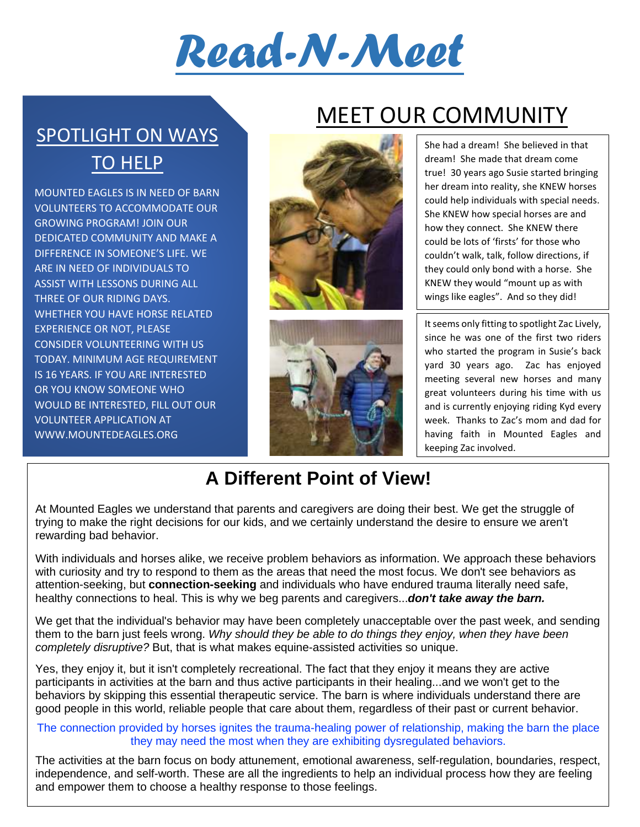

SPOTLIGHT ON WAYS TO HELP

MOUNTED EAGLES IS IN NEED OF BARN VOLUNTEERS TO ACCOMMODATE OUR GROWING PROGRAM! JOIN OUR DEDICATED COMMUNITY AND MAKE A DIFFERENCE IN SOMEONE'S LIFE. WE ARE IN NEED OF INDIVIDUALS TO ASSIST WITH LESSONS DURING ALL THREE OF OUR RIDING DAYS. WHETHER YOU HAVE HORSE RELATED EXPERIENCE OR NOT, PLEASE CONSIDER VOLUNTEERING WITH US TODAY. MINIMUM AGE REQUIREMENT IS 16 YEARS. IF YOU ARE INTERESTED OR YOU KNOW SOMEONE WHO WOULD BE INTERESTED, FILL OUT OUR VOLUNTEER APPLICATION AT WWW.MOUNTEDEAGLES.ORG

## MEET OUR COMMUNITY





She had a dream! She believed in that dream! She made that dream come true! 30 years ago Susie started bringing her dream into reality, she KNEW horses could help individuals with special needs. She KNEW how special horses are and how they connect. She KNEW there could be lots of 'firsts' for those who couldn't walk, talk, follow directions, if they could only bond with a horse. She KNEW they would "mount up as with wings like eagles". And so they did!

It seems only fitting to spotlight Zac Lively, since he was one of the first two riders who started the program in Susie's back yard 30 years ago. Zac has enjoyed meeting several new horses and many great volunteers during his time with us and is currently enjoying riding Kyd every week. Thanks to Zac's mom and dad for having faith in Mounted Eagles and keeping Zac involved.

### **A Different Point of View!**

At Mounted Eagles we understand that parents and caregivers are doing their best. We get the struggle of trying to make the right decisions for our kids, and we certainly understand the desire to ensure we aren't rewarding bad behavior.

With individuals and horses alike, we receive problem behaviors as information. We approach these behaviors with curiosity and try to respond to them as the areas that need the most focus. We don't see behaviors as attention-seeking, but **connection-seeking** and individuals who have endured trauma literally need safe, healthy connections to heal. This is why we beg parents and caregivers...*don't take away the barn.*

We get that the individual's behavior may have been completely unacceptable over the past week, and sending them to the barn just feels wrong. *Why should they be able to do things they enjoy, when they have been completely disruptive?* But, that is what makes equine-assisted activities so unique.

Yes, they enjoy it, but it isn't completely recreational. The fact that they enjoy it means they are active participants in activities at the barn and thus active participants in their healing...and we won't get to the behaviors by skipping this essential therapeutic service. The barn is where individuals understand there are good people in this world, reliable people that care about them, regardless of their past or current behavior.

#### The connection provided by horses ignites the trauma-healing power of relationship, making the barn the place they may need the most when they are exhibiting dysregulated behaviors.

The activities at the barn focus on body attunement, emotional awareness, self-regulation, boundaries, respect, independence, and self-worth. These are all the ingredients to help an individual process how they are feeling and empower them to choose a healthy response to those feelings.